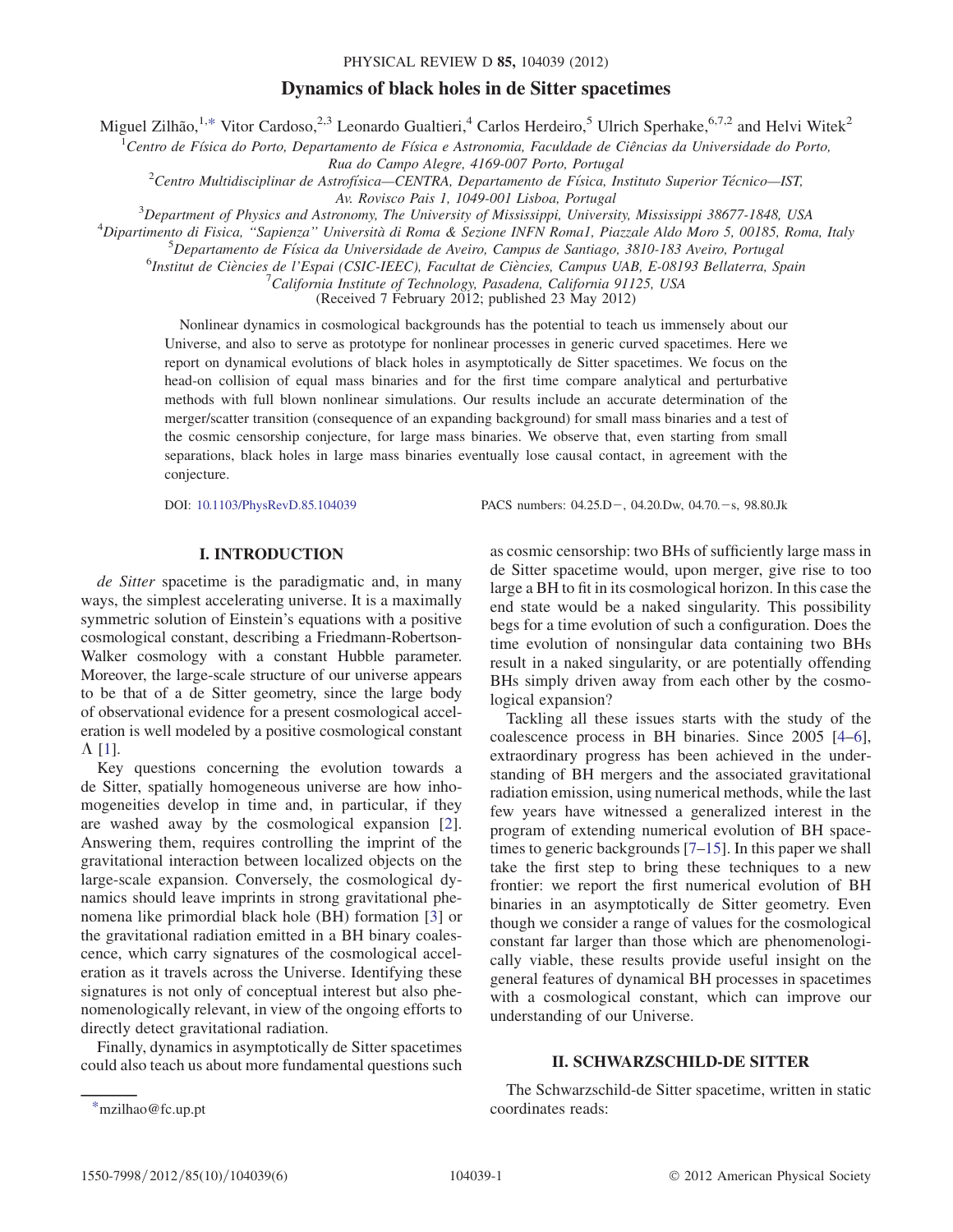PHYSICAL REVIEW D 85, 104039 (2012)

# Dynamics of black holes in de Sitter spacetimes

<span id="page-0-1"></span>Miguel Zilhão,<sup>1[,\\*](#page-0-0)</sup> Vitor Cardoso,<sup>2,3</sup> Leonardo Gualtieri,<sup>4</sup> Carlos Herdeiro,<sup>5</sup> Ulrich Sperhake,<sup>6,7,2</sup> and Helvi Witek<sup>2</sup>

 ${}^{1}$ Centro de Física do Porto, Departamento de Física e Astronomia, Faculdade de Ciências da Universidade do Porto,

Rua do Campo Alegre, 4169-007 Porto, Portugal<br>Centro Multidisciplinar de Astrofísica—CENTRA, Departamento de Física, Instituto Superior Técnico—IST,

Av. Rovisco Pais 1, 1049-001 Lisboa, Portugal<br><sup>3</sup>Department of Physics and Astronomy The University of Mississippi University<sup>3</sup>

<sup>3</sup>Department of Physics and Astronomy, The University of Mississippi, University, Mississippi 38677-1848, USA  $^{4}$ Dipartimento di Fisica, "Sapienza" Università di Poma & Sazione INFN Poma L. Piazzale Aldo Moro 5, 00185,

 $^4$ Dipartimento di Fisica, "Sapienza" Università di Roma & Sezione INFN Roma1, Piazzale Aldo Moro 5, 00185, Roma, Italy

 $5$ Departamento de Física da Universidade de Aveiro, Campus de Santiago, 3810-183 Aveiro, Portugal

<sup>6</sup>Institut de Ciències de l'Espai (CSIC-IEEC), Facultat de Ciències, Campus UAB, E-08193 Bellaterra, Spain

<sup>7</sup>California Institute of Technology, Pasadena, California 91125, USA

(Received 7 February 2012; published 23 May 2012)

Nonlinear dynamics in cosmological backgrounds has the potential to teach us immensely about our Universe, and also to serve as prototype for nonlinear processes in generic curved spacetimes. Here we report on dynamical evolutions of black holes in asymptotically de Sitter spacetimes. We focus on the head-on collision of equal mass binaries and for the first time compare analytical and perturbative methods with full blown nonlinear simulations. Our results include an accurate determination of the merger/scatter transition (consequence of an expanding background) for small mass binaries and a test of the cosmic censorship conjecture, for large mass binaries. We observe that, even starting from small separations, black holes in large mass binaries eventually lose causal contact, in agreement with the conjecture.

DOI: [10.1103/PhysRevD.85.104039](http://dx.doi.org/10.1103/PhysRevD.85.104039) PACS numbers: 04.25.D-, 04.20.Dw, 04.70.-s, 98.80.Jk

#### I. INTRODUCTION

de Sitter spacetime is the paradigmatic and, in many ways, the simplest accelerating universe. It is a maximally symmetric solution of Einstein's equations with a positive cosmological constant, describing a Friedmann-Robertson-Walker cosmology with a constant Hubble parameter. Moreover, the large-scale structure of our universe appears to be that of a de Sitter geometry, since the large body of observational evidence for a present cosmological acceleration is well modeled by a positive cosmological constant  $\Lambda$  [\[1\]](#page-5-0).

Key questions concerning the evolution towards a de Sitter, spatially homogeneous universe are how inhomogeneities develop in time and, in particular, if they are washed away by the cosmological expansion [[2\]](#page-5-1). Answering them, requires controlling the imprint of the gravitational interaction between localized objects on the large-scale expansion. Conversely, the cosmological dynamics should leave imprints in strong gravitational phenomena like primordial black hole (BH) formation [\[3](#page-5-2)] or the gravitational radiation emitted in a BH binary coalescence, which carry signatures of the cosmological acceleration as it travels across the Universe. Identifying these signatures is not only of conceptual interest but also phenomenologically relevant, in view of the ongoing efforts to directly detect gravitational radiation.

Finally, dynamics in asymptotically de Sitter spacetimes could also teach us about more fundamental questions such as cosmic censorship: two BHs of sufficiently large mass in de Sitter spacetime would, upon merger, give rise to too large a BH to fit in its cosmological horizon. In this case the end state would be a naked singularity. This possibility begs for a time evolution of such a configuration. Does the time evolution of nonsingular data containing two BHs result in a naked singularity, or are potentially offending BHs simply driven away from each other by the cosmological expansion?

Tackling all these issues starts with the study of the coalescence process in BH binaries. Since 2005 [\[4–](#page-5-3)[6\]](#page-5-4), extraordinary progress has been achieved in the understanding of BH mergers and the associated gravitational radiation emission, using numerical methods, while the last few years have witnessed a generalized interest in the program of extending numerical evolution of BH spacetimes to generic backgrounds [[7](#page-5-5)[–15\]](#page-5-6). In this paper we shall take the first step to bring these techniques to a new frontier: we report the first numerical evolution of BH binaries in an asymptotically de Sitter geometry. Even though we consider a range of values for the cosmological constant far larger than those which are phenomenologically viable, these results provide useful insight on the general features of dynamical BH processes in spacetimes with a cosmological constant, which can improve our understanding of our Universe.

# II. SCHWARZSCHILD-DE SITTER

<span id="page-0-0"></span>The Schwarzschild-de Sitter spacetime, written in static [\\*m](#page-0-1)zilhao@fc.up.pt coordinates reads: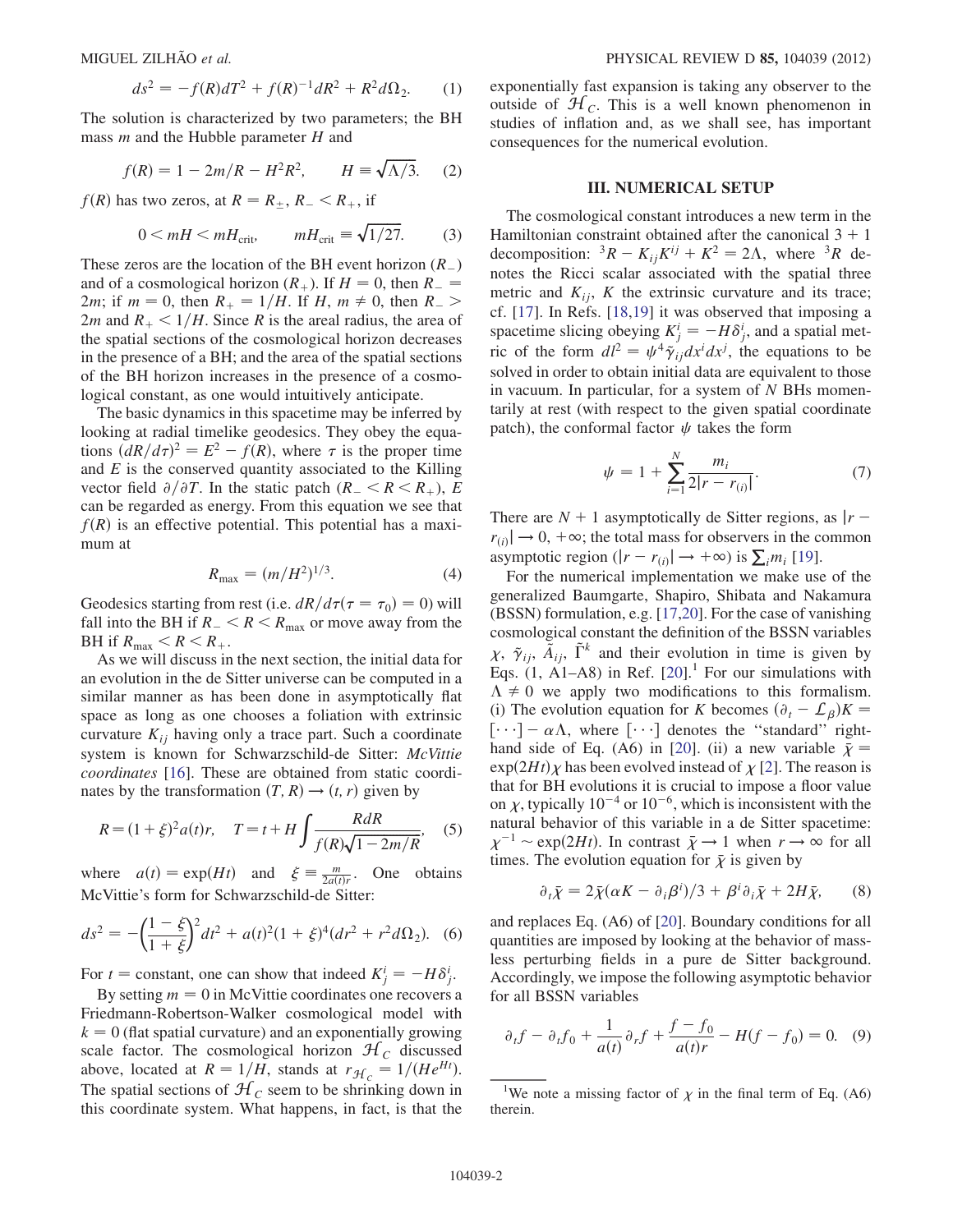$$
ds^{2} = -f(R)dT^{2} + f(R)^{-1}dR^{2} + R^{2}d\Omega_{2}.
$$
 (1)

The solution is characterized by two parameters; the BH mass  $m$  and the Hubble parameter  $H$  and

$$
f(R) = 1 - 2m/R - H^2 R^2
$$
,  $H = \sqrt{\Lambda/3}$ . (2)

 $f(R)$  has two zeros, at  $R = R_{\pm}, R_{-} < R_{+}$ , if

$$
0 < mH < m_{\text{crit}} \qquad m_{\text{crit}} \equiv \sqrt{1/27}.\tag{3}
$$

These zeros are the location of the BH event horizon  $(R_+)$ and of a cosmological horizon  $(R_+)$ . If  $H = 0$ , then  $R_-$ 2*m*; if  $m = 0$ , then  $R_+ = 1/H$ . If  $H_+ = 0$ , then  $R_- >$ 2*m* and  $R_+ < 1/H$ . Since R is the areal radius, the area of the spatial sections of the cosmological horizon decreases in the presence of a BH; and the area of the spatial sections of the BH horizon increases in the presence of a cosmological constant, as one would intuitively anticipate.

The basic dynamics in this spacetime may be inferred by looking at radial timelike geodesics. They obey the equations  $\left(\frac{dR}{d\tau}\right)^2 = E^2 - f(R)$ , where  $\tau$  is the proper time and  $E$  is the conserved quantity associated to the Killing vector field  $\partial/\partial T$ . In the static patch  $(R_- < R < R_+)$ , E can be regarded as energy. From this equation we see that  $f(R)$  is an effective potential. This potential has a maximum at

$$
R_{\text{max}} = (m/H^2)^{1/3}.
$$
 (4)

<span id="page-1-2"></span>Geodesics starting from rest (i.e.  $dR/d\tau(\tau=\tau_0)=0$ ) will fall into the BH if  $R_{-} < R < R_{\text{max}}$  or move away from the BH if  $R_{\text{max}} < R < R_+$ .

As we will discuss in the next section, the initial data for an evolution in the de Sitter universe can be computed in a similar manner as has been done in asymptotically flat space as long as one chooses a foliation with extrinsic curvature  $K_{ij}$  having only a trace part. Such a coordinate system is known for Schwarzschild-de Sitter: McVittie coordinates [[16](#page-5-7)]. These are obtained from static coordinates by the transformation  $(T, R) \rightarrow (t, r)$  given by

$$
R = (1 + \xi)^2 a(t)r, \quad T = t + H \int \frac{R dR}{f(R)\sqrt{1 - 2m/R}}, \quad (5)
$$

where  $a(t) = \exp(Ht)$  and  $\xi = \frac{m}{2a(t)r}$ . One obtains<br>MoVittio's form for Sobwerzschild do Sitter: McVittie's form for Schwarzschild-de Sitter:

<span id="page-1-0"></span>
$$
ds^{2} = -\left(\frac{1-\xi}{1+\xi}\right)^{2}dt^{2} + a(t)^{2}(1+\xi)^{4}(dr^{2} + r^{2}d\Omega_{2}).
$$
 (6)

For  $t =$  constant, one can show that indeed  $K_j^i = -H\delta_j^i$ .

By setting  $m = 0$  in McVittie coordinates one recovers a Friedmann-Robertson-Walker cosmological model with  $k = 0$  (flat spatial curvature) and an exponentially growing scale factor. The cosmological horizon  $\mathcal{H}_C$  discussed above, located at  $R = 1/H$ , stands at  $r_{\mathcal{H}_c} = 1/(He^{Ht})$ . The spatial sections of  $\mathcal{H}_C$  seem to be shrinking down in this coordinate system. What happens, in fact, is that the exponentially fast expansion is taking any observer to the outside of  $\mathcal{H}_C$ . This is a well known phenomenon in studies of inflation and, as we shall see, has important consequences for the numerical evolution.

### III. NUMERICAL SETUP

The cosmological constant introduces a new term in the Hamiltonian constraint obtained after the canonical  $3 + 1$ decomposition:  ${}^{3}R - K_{ij}K^{ij} + K^{2} = 2\Lambda$ , where  ${}^{3}R$  denotes the Ricci scalar associated with the spatial three metric and  $K_{ij}$ , K the extrinsic curvature and its trace; cf. [[17](#page-5-8)]. In Refs. [\[18](#page-5-9)[,19\]](#page-5-10) it was observed that imposing a spacetime slicing obeying  $K_j^i = -H\delta_j^i$ , and a spatial metric of the form  $dl^2 = \psi^4 \tilde{\gamma}_{ij} dx^i dx^j$ , the equations to be solved in order to obtain initial data are equivalent to those solved in order to obtain initial data are equivalent to those in vacuum. In particular, for a system of  $N$  BHs momentarily at rest (with respect to the given spatial coordinate patch), the conformal factor  $\psi$  takes the form

$$
\psi = 1 + \sum_{i=1}^{N} \frac{m_i}{2|r - r_{(i)}|}.
$$
\n(7)

<span id="page-1-1"></span>There are  $N + 1$  asymptotically de Sitter regions, as  $|r$  $r_{(i)} \rightarrow 0, +\infty$ ; the total mass for observers in the common  $r_{(i)} \rightarrow 0, +\infty$ ; the total mass for observers in the consequent rate region  $(|r - r_{(i)}| \rightarrow +\infty)$  is  $\sum_i m_i$  [\[19\]](#page-5-10).

For the numerical implementation we make use of the generalized Baumgarte, Shapiro, Shibata and Nakamura (BSSN) formulation, e.g. [\[17,](#page-5-8)[20\]](#page-5-11). For the case of vanishing cosmological constant the definition of the BSSN variables  $\chi$ ,  $\tilde{\gamma}_{ii}$ ,  $\tilde{A}_{ii}$ ,  $\tilde{\Gamma}^k$  and their evolution in time is given by Eqs.  $(1, A1-A8)$  in Ref.  $[20]$ .<sup>1</sup> For our simulations with  $\Lambda \neq 0$  we apply two modifications to this formalism. (i) The evolution equation for K becomes  $(\partial_t - \mathcal{L}_\beta)K =$  $[\cdots] - \alpha \Lambda$ , where  $[\cdots]$  denotes the "standard" right-hand side of Eq. (A6) in [[20](#page-5-11)]. (ii) a new variable  $\bar{\chi} =$  $\exp(2Ht)\chi$  has been evolved instead of  $\chi$  [[2\]](#page-5-1). The reason is that for BH evolutions it is crucial to impose a floor value on  $\chi$ , typically 10<sup>-4</sup> or 10<sup>-6</sup>, which is inconsistent with the natural behavior of this variable in a de Sitter spacetime:  $\chi^{-1} \sim \exp(2Ht)$ . In contrast  $\bar{\chi} \to 1$  when  $r \to \infty$  for all times. The evolution equation for  $\bar{\chi}$  is given by

$$
\partial_t \bar{\chi} = 2\bar{\chi}(\alpha K - \partial_i \beta^i)/3 + \beta^i \partial_i \bar{\chi} + 2H\bar{\chi}, \qquad (8)
$$

and replaces Eq. (A6) of [[20](#page-5-11)]. Boundary conditions for all quantities are imposed by looking at the behavior of massless perturbing fields in a pure de Sitter background. Accordingly, we impose the following asymptotic behavior for all BSSN variables

$$
\partial_t f - \partial_t f_0 + \frac{1}{a(t)} \partial_r f + \frac{f - f_0}{a(t)r} - H(f - f_0) = 0. \tag{9}
$$

<sup>&</sup>lt;sup>1</sup>We note a missing factor of  $\chi$  in the final term of Eq. (A6) therein.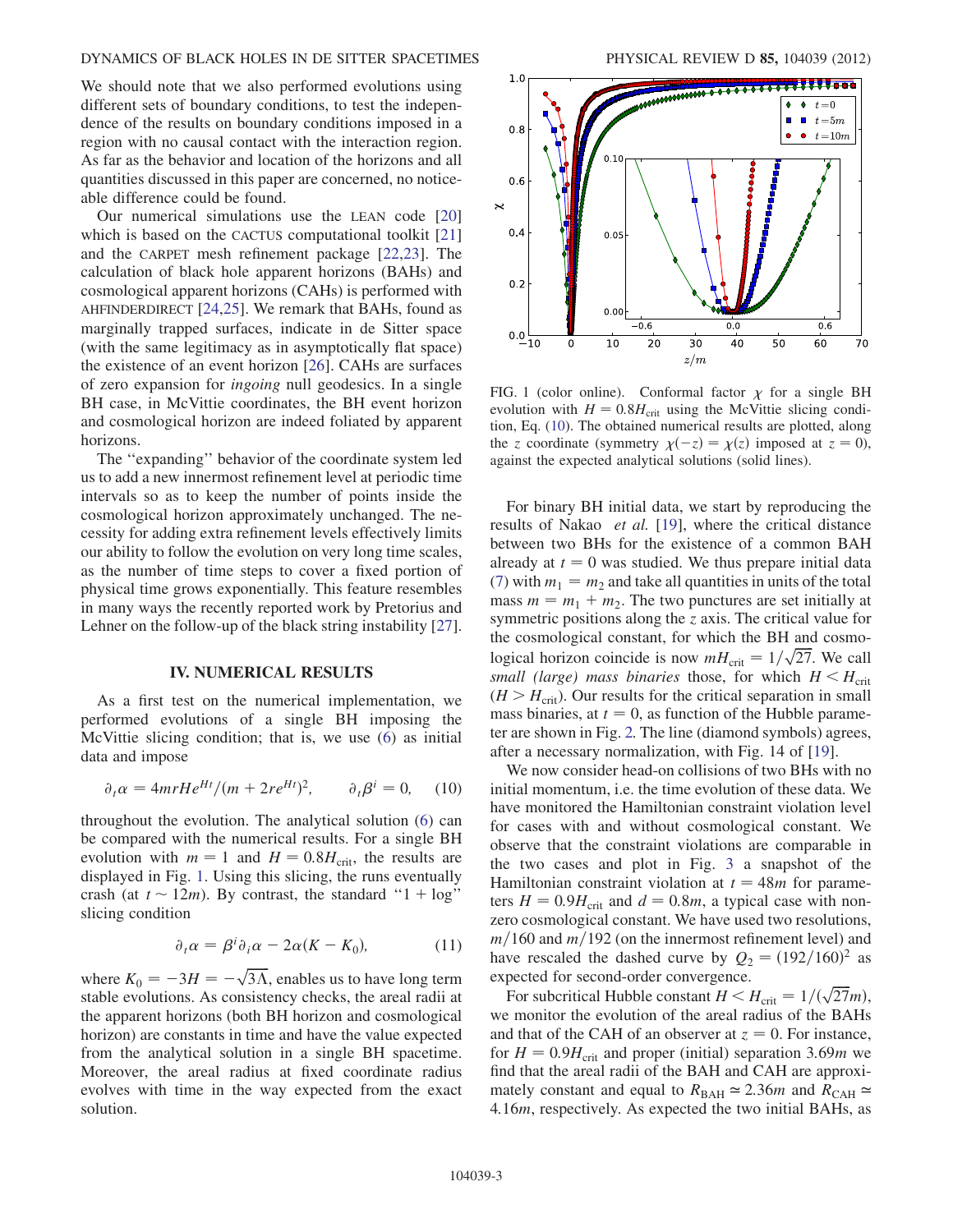### DYNAMICS OF BLACK HOLES IN DE SITTER SPACETIMES PHYSICAL REVIEW D 85, 104039 (2012)

We should note that we also performed evolutions using different sets of boundary conditions, to test the independence of the results on boundary conditions imposed in a region with no causal contact with the interaction region. As far as the behavior and location of the horizons and all quantities discussed in this paper are concerned, no noticeable difference could be found.

Our numerical simulations use the LEAN code [\[20\]](#page-5-11) which is based on the CACTUS computational toolkit [\[21\]](#page-5-12) and the CARPET mesh refinement package [\[22,](#page-5-13)[23\]](#page-5-14). The calculation of black hole apparent horizons (BAHs) and cosmological apparent horizons (CAHs) is performed with AHFINDERDIRECT [[24,](#page-5-15)[25](#page-5-16)]. We remark that BAHs, found as marginally trapped surfaces, indicate in de Sitter space (with the same legitimacy as in asymptotically flat space) the existence of an event horizon [\[26\]](#page-5-17). CAHs are surfaces of zero expansion for ingoing null geodesics. In a single BH case, in McVittie coordinates, the BH event horizon and cosmological horizon are indeed foliated by apparent horizons.

The ''expanding'' behavior of the coordinate system led us to add a new innermost refinement level at periodic time intervals so as to keep the number of points inside the cosmological horizon approximately unchanged. The necessity for adding extra refinement levels effectively limits our ability to follow the evolution on very long time scales, as the number of time steps to cover a fixed portion of physical time grows exponentially. This feature resembles in many ways the recently reported work by Pretorius and Lehner on the follow-up of the black string instability [[27\]](#page-5-18).

#### IV. NUMERICAL RESULTS

As a first test on the numerical implementation, we performed evolutions of a single BH imposing the McVittie slicing condition; that is, we use [\(6](#page-1-0)) as initial data and impose

<span id="page-2-1"></span>
$$
\partial_t \alpha = 4mrHe^{Ht}/(m + 2re^{Ht})^2, \qquad \partial_t \beta^i = 0, \quad (10)
$$

throughout the evolution. The analytical solution ([6](#page-1-0)) can be compared with the numerical results. For a single BH evolution with  $m = 1$  and  $H = 0.8H_{\text{crit}}$ , the results are displayed in Fig. [1](#page-2-0). Using this slicing, the runs eventually crash (at  $t \sim 12m$ ). By contrast, the standard "1 + log" slicing condition

$$
\partial_t \alpha = \beta^i \partial_i \alpha - 2\alpha (K - K_0), \tag{11}
$$

where  $K_0 = -3H = -\sqrt{3\Lambda}$ , enables us to have long term<br>stable evolutions. As consistency checks, the areal radii at stable evolutions. As consistency checks, the areal radii at the apparent horizons (both BH horizon and cosmological horizon) are constants in time and have the value expected from the analytical solution in a single BH spacetime. Moreover, the areal radius at fixed coordinate radius evolves with time in the way expected from the exact solution.

<span id="page-2-0"></span>

FIG. 1 (color online). Conformal factor  $\chi$  for a single BH evolution with  $H = 0.8H_{\text{crit}}$  using the McVittie slicing condition, Eq. ([10](#page-2-1)). The obtained numerical results are plotted, along the z coordinate (symmetry  $\chi(-z) = \chi(z)$  imposed at  $z = 0$ ), against the expected analytical solutions (solid lines).

For binary BH initial data, we start by reproducing the results of Nakao et al. [[19](#page-5-10)], where the critical distance between two BHs for the existence of a common BAH already at  $t = 0$  was studied. We thus prepare initial data [\(7\)](#page-1-1) with  $m_1 = m_2$  and take all quantities in units of the total mass  $m = m_1 + m_2$ . The two punctures are set initially at symmetric positions along the z axis. The critical value for the cosmological constant, for which the BH and cosmothe cosmological constant, for which the BH and cosmo-<br>logical horizon coincide is now  $mH_{\text{crit}} = 1/\sqrt{27}$ . We call<br>small (large) mass binaries those for which  $H < H$ . small (large) mass binaries those, for which  $H < H_{\text{crit}}$  $(H > H<sub>crit</sub>)$ . Our results for the critical separation in small mass binaries, at  $t = 0$ , as function of the Hubble parameter are shown in Fig. [2.](#page-3-0) The line (diamond symbols) agrees, after a necessary normalization, with Fig. 14 of [[19](#page-5-10)].

We now consider head-on collisions of two BHs with no initial momentum, i.e. the time evolution of these data. We have monitored the Hamiltonian constraint violation level for cases with and without cosmological constant. We observe that the constraint violations are comparable in the two cases and plot in Fig. [3](#page-3-1) a snapshot of the Hamiltonian constraint violation at  $t = 48m$  for parameters  $H = 0.9H_{\text{crit}}$  and  $d = 0.8m$ , a typical case with nonzero cosmological constant. We have used two resolutions,  $m/160$  and  $m/192$  (on the innermost refinement level) and have rescaled the dashed curve by  $Q_2 = (192/160)^2$  as<br>expected for second-order convergence expected for second-order convergence.

pected for second-order convergence.<br>For subcritical Hubble constant  $H < H_{\text{crit}} = 1/(\sqrt{27}m)$ ,<br>a monitor the evolution of the areal radius of the BAHs we monitor the evolution of the areal radius of the BAHs and that of the CAH of an observer at  $z = 0$ . For instance, for  $H = 0.9H_{\text{crit}}$  and proper (initial) separation 3.69m we find that the areal radii of the BAH and CAH are approximately constant and equal to  $R_{\text{BAH}} \simeq 2.36m$  and  $R_{\text{CAH}} \simeq$ 4:16m, respectively. As expected the two initial BAHs, as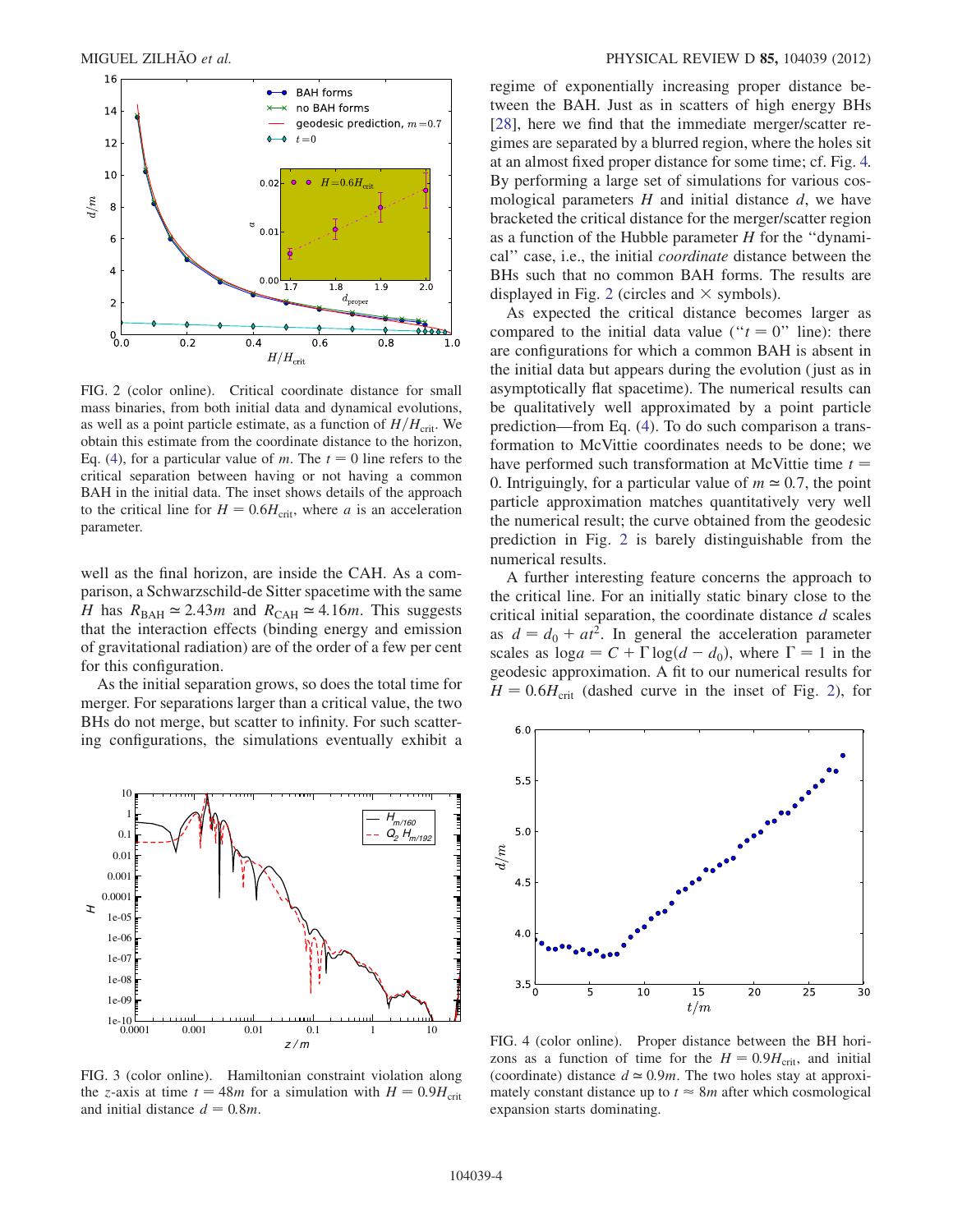<span id="page-3-0"></span>

FIG. 2 (color online). Critical coordinate distance for small mass binaries, from both initial data and dynamical evolutions, as well as a point particle estimate, as a function of  $H/H_{\text{crit}}$ . We obtain this estimate from the coordinate distance to the horizon, Eq. ([4\)](#page-1-2), for a particular value of m. The  $t = 0$  line refers to the critical separation between having or not having a common BAH in the initial data. The inset shows details of the approach to the critical line for  $H = 0.6H<sub>crit</sub>$ , where a is an acceleration parameter.

well as the final horizon, are inside the CAH. As a comparison, a Schwarzschild-de Sitter spacetime with the same H has  $R_{\text{BAH}} \approx 2.43m$  and  $R_{\text{CAH}} \approx 4.16m$ . This suggests that the interaction effects (binding energy and emission of gravitational radiation) are of the order of a few per cent for this configuration.

As the initial separation grows, so does the total time for merger. For separations larger than a critical value, the two BHs do not merge, but scatter to infinity. For such scattering configurations, the simulations eventually exhibit a

<span id="page-3-1"></span>

FIG. 3 (color online). Hamiltonian constraint violation along the z-axis at time  $t = 48m$  for a simulation with  $H = 0.9H_{\text{crit}}$ and initial distance  $d = 0.8m$ .

regime of exponentially increasing proper distance between the BAH. Just as in scatters of high energy BHs [\[28\]](#page-5-19), here we find that the immediate merger/scatter regimes are separated by a blurred region, where the holes sit at an almost fixed proper distance for some time; cf. Fig. [4.](#page-3-2) By performing a large set of simulations for various cosmological parameters  $H$  and initial distance  $d$ , we have bracketed the critical distance for the merger/scatter region as a function of the Hubble parameter H for the ''dynamical'' case, i.e., the initial coordinate distance between the BHs such that no common BAH forms. The results are displayed in Fig. [2](#page-3-0) (circles and  $\times$  symbols).

As expected the critical distance becomes larger as compared to the initial data value (" $t = 0$ " line): there are configurations for which a common BAH is absent in the initial data but appears during the evolution (just as in asymptotically flat spacetime). The numerical results can be qualitatively well approximated by a point particle prediction—from Eq. [\(4](#page-1-2)). To do such comparison a transformation to McVittie coordinates needs to be done; we have performed such transformation at McVittie time  $t =$ 0. Intriguingly, for a particular value of  $m \approx 0.7$ , the point particle approximation matches quantitatively very well the numerical result; the curve obtained from the geodesic prediction in Fig. [2](#page-3-0) is barely distinguishable from the numerical results.

A further interesting feature concerns the approach to the critical line. For an initially static binary close to the critical initial separation, the coordinate distance  $d$  scales as  $d = d_0 + at^2$ . In general the acceleration parameter scales as  $log a = C + \Gamma log(d - d_0)$ , where  $\Gamma = 1$  in the geodesic approximation. A fit to our numerical results for  $H = 0.6H_{\text{crit}}$  (dashed curve in the inset of Fig. [2\)](#page-3-0), for

<span id="page-3-2"></span>

FIG. 4 (color online). Proper distance between the BH horizons as a function of time for the  $H = 0.9H_{\text{crit}}$ , and initial (coordinate) distance  $d \approx 0.9m$ . The two holes stay at approximately constant distance up to  $t \approx 8m$  after which cosmological expansion starts dominating.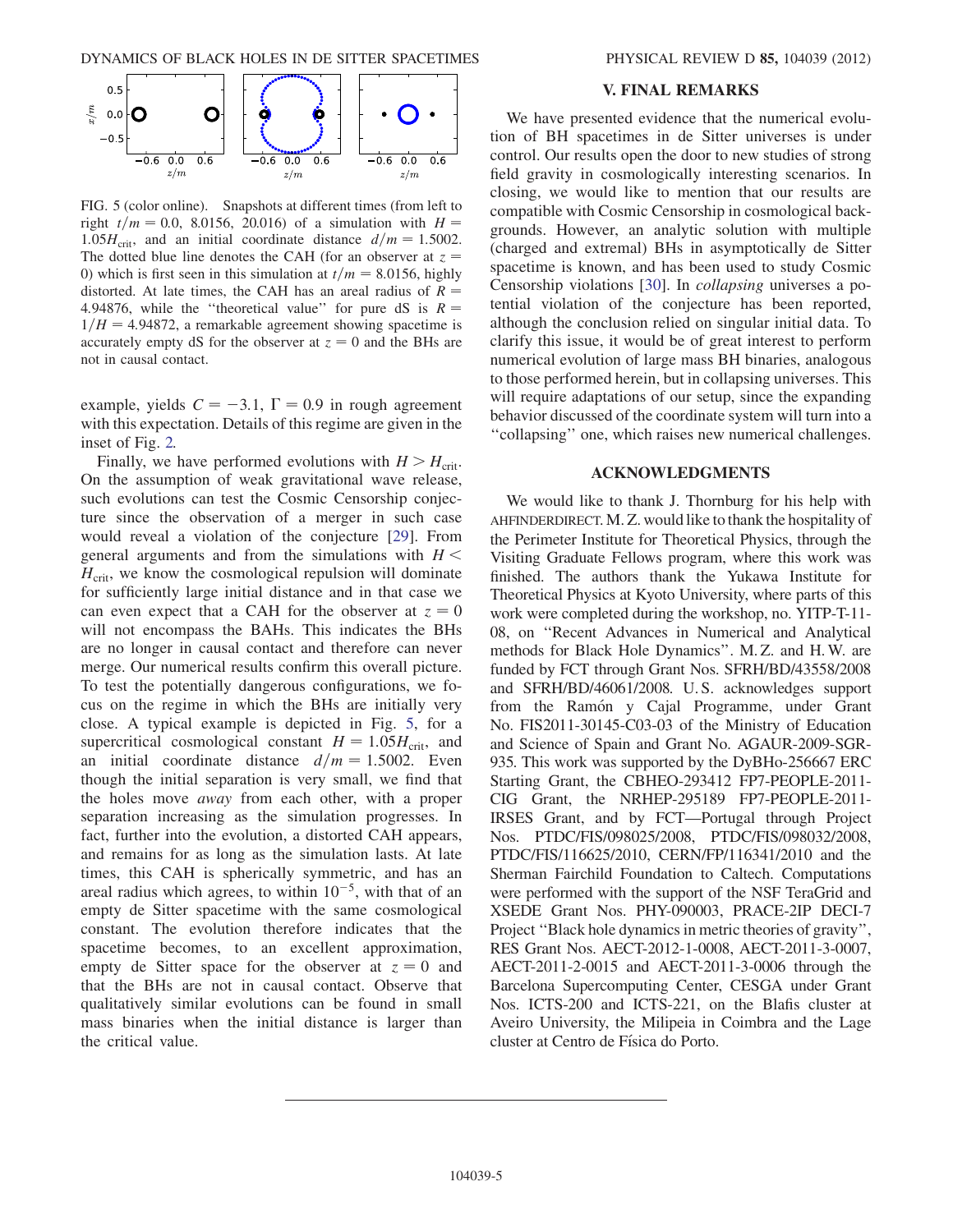<span id="page-4-0"></span>

FIG. 5 (color online). Snapshots at different times (from left to right  $t/m = 0.0$ , 8.0156, 20.016) of a simulation with  $H =$ 1.05H<sub>crit</sub>, and an initial coordinate distance  $d/m = 1.5002$ . The dotted blue line denotes the CAH (for an observer at  $z =$ 0) which is first seen in this simulation at  $t/m = 8.0156$ , highly distorted. At late times, the CAH has an areal radius of  $R =$ 4.94876, while the "theoretical value" for pure dS is  $R =$  $1/H = 4.94872$ , a remarkable agreement showing spacetime is accurately empty dS for the observer at  $z = 0$  and the BHs are not in causal contact.

example, yields  $C = -3.1$ ,  $\Gamma = 0.9$  in rough agreement with this expectation. Details of this regime are given in the inset of Fig. [2.](#page-3-0)

Finally, we have performed evolutions with  $H > H_{\text{crit}}$ . On the assumption of weak gravitational wave release, such evolutions can test the Cosmic Censorship conjecture since the observation of a merger in such case would reveal a violation of the conjecture [\[29\]](#page-5-20). From general arguments and from the simulations with  $H <$  $H_{\text{crit}}$ , we know the cosmological repulsion will dominate<br>for sufficiently large initial distance and in that case we for sufficiently large initial distance and in that case we can even expect that a CAH for the observer at  $z = 0$ will not encompass the BAHs. This indicates the BHs are no longer in causal contact and therefore can never merge. Our numerical results confirm this overall picture. To test the potentially dangerous configurations, we focus on the regime in which the BHs are initially very close. A typical example is depicted in Fig. [5](#page-4-0), for a supercritical cosmological constant  $H = 1.05H_{\text{crit}}$ , and an initial coordinate distance  $d/m = 1.5002$ . Even though the initial separation is very small, we find that the holes move away from each other, with a proper separation increasing as the simulation progresses. In fact, further into the evolution, a distorted CAH appears, and remains for as long as the simulation lasts. At late times, this CAH is spherically symmetric, and has an areal radius which agrees, to within  $10^{-5}$ , with that of an empty de Sitter spacetime with the same cosmological constant. The evolution therefore indicates that the spacetime becomes, to an excellent approximation, empty de Sitter space for the observer at  $z = 0$  and that the BHs are not in causal contact. Observe that qualitatively similar evolutions can be found in small mass binaries when the initial distance is larger than the critical value.

### V. FINAL REMARKS

We have presented evidence that the numerical evolution of BH spacetimes in de Sitter universes is under control. Our results open the door to new studies of strong field gravity in cosmologically interesting scenarios. In closing, we would like to mention that our results are compatible with Cosmic Censorship in cosmological backgrounds. However, an analytic solution with multiple (charged and extremal) BHs in asymptotically de Sitter spacetime is known, and has been used to study Cosmic Censorship violations [\[30\]](#page-5-21). In collapsing universes a potential violation of the conjecture has been reported, although the conclusion relied on singular initial data. To clarify this issue, it would be of great interest to perform numerical evolution of large mass BH binaries, analogous to those performed herein, but in collapsing universes. This will require adaptations of our setup, since the expanding behavior discussed of the coordinate system will turn into a ''collapsing'' one, which raises new numerical challenges.

## ACKNOWLEDGMENTS

We would like to thank J. Thornburg for his help with AHFINDERDIRECT. M. Z. would like to thank the hospitality of the Perimeter Institute for Theoretical Physics, through the Visiting Graduate Fellows program, where this work was finished. The authors thank the Yukawa Institute for Theoretical Physics at Kyoto University, where parts of this work were completed during the workshop, no. YITP-T-11- 08, on ''Recent Advances in Numerical and Analytical methods for Black Hole Dynamics''. M. Z. and H.W. are funded by FCT through Grant Nos. SFRH/BD/43558/2008 and SFRH/BD/46061/2008. U. S. acknowledges support from the Ramón y Cajal Programme, under Grant No. FIS2011-30145-C03-03 of the Ministry of Education and Science of Spain and Grant No. AGAUR-2009-SGR-935. This work was supported by the DyBHo-256667 ERC Starting Grant, the CBHEO-293412 FP7-PEOPLE-2011- CIG Grant, the NRHEP-295189 FP7-PEOPLE-2011- IRSES Grant, and by FCT—Portugal through Project Nos. PTDC/FIS/098025/2008, PTDC/FIS/098032/2008, PTDC/FIS/116625/2010, CERN/FP/116341/2010 and the Sherman Fairchild Foundation to Caltech. Computations were performed with the support of the NSF TeraGrid and XSEDE Grant Nos. PHY-090003, PRACE-2IP DECI-7 Project ''Black hole dynamics in metric theories of gravity'', RES Grant Nos. AECT-2012-1-0008, AECT-2011-3-0007, AECT-2011-2-0015 and AECT-2011-3-0006 through the Barcelona Supercomputing Center, CESGA under Grant Nos. ICTS-200 and ICTS-221, on the Blafis cluster at Aveiro University, the Milipeia in Coimbra and the Lage cluster at Centro de Física do Porto.